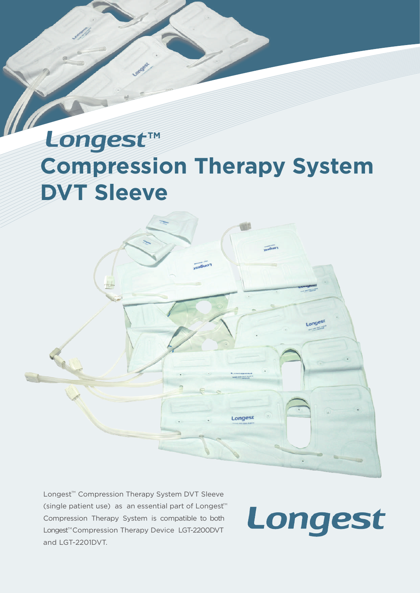## **Compression Therapy System DVT Sleeve Longest™**



Longest<sup>™</sup> Compression Therapy System DVT Sleeve (single patient use) as an essential part of Longest<sup>®</sup> Compression Therapy System is compatible to both Longest<sup>™</sup>Compression Therapy Device LGT-2200DVT and LGT-2201DVT.

Longest